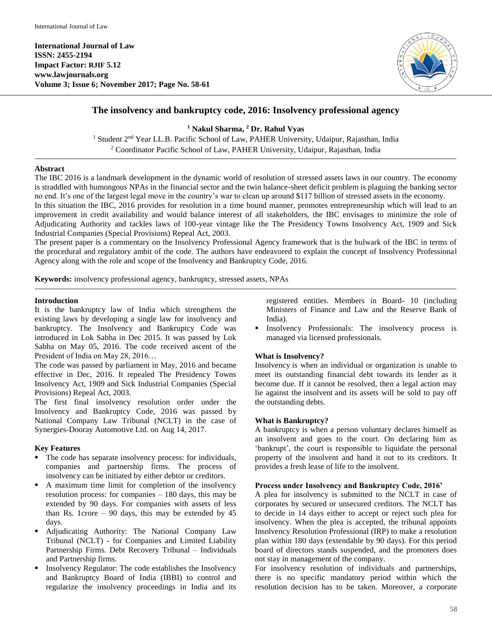

# **The insolvency and bankruptcy code, 2016: Insolvency professional agency**

**<sup>1</sup> Nakul Sharma, <sup>2</sup> Dr. Rahul Vyas**

<sup>1</sup> Student 2<sup>nd</sup> Year LL.B. Pacific School of Law, PAHER University, Udaipur, Rajasthan, India <sup>2</sup> Coordinator Pacific School of Law, PAHER University, Udaipur, Rajasthan, India

### **Abstract**

The IBC 2016 is a landmark development in the dynamic world of resolution of stressed assets laws in our country. The economy is straddled with humongous NPAs in the financial sector and the twin balance-sheet deficit problem is plaguing the banking sector no end. It's one of the largest legal move in the country's war to clean up around \$117 billion of stressed assets in the economy. In this situation the IBC, 2016 provides for resolution in a time bound manner, promotes entrepreneurship which will lead to an improvement in credit availability and would balance interest of all stakeholders, the IBC envisages to minimize the role of Adjudicating Authority and tackles laws of 100-year vintage like the The Presidency Towns Insolvency Act, 1909 and Sick Industrial Companies (Special Provisions) Repeal Act, 2003.

The present paper is a commentary on the Insolvency Professional Agency framework that is the bulwark of the IBC in terms of the procedural and regulatory ambit of the code. The authors have endeavored to explain the concept of Insolvency Professional Agency along with the role and scope of the Insolvency and Bankruptcy Code, 2016.

**Keywords:** insolvency professional agency, bankruptcy, stressed assets, NPAs

#### **Introduction**

It is the bankruptcy law of India which strengthens the existing laws by developing a single law for insolvency and bankruptcy. The Insolvency and Bankruptcy Code was introduced in Lok Sabha in Dec 2015. It was passed by Lok Sabha on May 05, 2016. The code received ascent of the President of India on May 28, 2016…

The code was passed by parliament in May, 2016 and became effective in Dec, 2016. It repealed The Presidency Towns Insolvency Act, 1909 and Sick Industrial Companies (Special Provisions) Repeal Act, 2003.

The first final insolvency resolution order under the Insolvency and Bankruptcy Code, 2016 was passed by National Company Law Tribunal (NCLT) in the case of Synergies-Dooray Automotive Ltd. on Aug 14, 2017.

## **Key Features**

- The code has separate insolvency process: for individuals, companies and partnership firms. The process of insolvency can be initiated by either debtor or creditors.
- A maximum time limit for completion of the insolvency resolution process: for companies – 180 days, this may be extended by 90 days. For companies with assets of less than Rs. 1crore – 90 days, this may be extended by  $45$ days.
- Adjudicating Authority: The National Company Law Tribunal (NCLT) - for Companies and Limited Liability Partnership Firms. Debt Recovery Tribunal – Individuals and Partnership firms.
- Insolvency Regulator: The code establishes the Insolvency and Bankruptcy Board of India (IBBI) to control and regularize the insolvency proceedings in India and its

registered entities. Members in Board- 10 (including Ministers of Finance and Law and the Reserve Bank of India).

 Insolvency Professionals: The insolvency process is managed via licensed professionals.

## **What is Insolvency?**

Insolvency is when an individual or organization is unable to meet its outstanding financial debt towards its lender as it become due. If it cannot be resolved, then a legal action may lie against the insolvent and its assets will be sold to pay off the outstanding debts.

## **What is Bankruptcy?**

A bankruptcy is when a person voluntary declares himself as an insolvent and goes to the court. On declaring him as 'bankrupt', the court is responsible to liquidate the personal property of the insolvent and hand it out to its creditors. It provides a fresh lease of life to the insolvent.

### **Process under Insolvency and Bankruptcy Code, 2016'**

A plea for insolvency is submitted to the NCLT in case of corporates by secured or unsecured creditors. The NCLT has to decide in 14 days either to accept or reject such plea for insolvency. When the plea is accepted, the tribunal appoints Insolvency Resolution Professional (IRP) to make a resolution plan within 180 days (extendable by 90 days). For this period board of directors stands suspended, and the promoters does not stay in management of the company.

For insolvency resolution of individuals and partnerships, there is no specific mandatory period within which the resolution decision has to be taken. Moreover, a corporate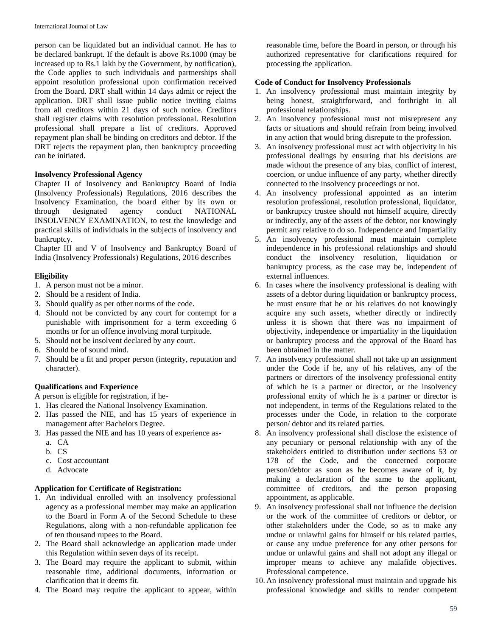person can be liquidated but an individual cannot. He has to be declared bankrupt. If the default is above Rs.1000 (may be increased up to Rs.1 lakh by the Government, by notification), the Code applies to such individuals and partnerships shall appoint resolution professional upon confirmation received from the Board. DRT shall within 14 days admit or reject the application. DRT shall issue public notice inviting claims from all creditors within 21 days of such notice. Creditors shall register claims with resolution professional. Resolution professional shall prepare a list of creditors. Approved repayment plan shall be binding on creditors and debtor. If the DRT rejects the repayment plan, then bankruptcy proceeding can be initiated.

## **Insolvency Professional Agency**

Chapter II of Insolvency and Bankruptcy Board of India (Insolvency Professionals) Regulations, 2016 describes the Insolvency Examination, the board either by its own or through designated agency conduct NATIONAL INSOLVENCY EXAMINATION, to test the knowledge and practical skills of individuals in the subjects of insolvency and bankruptcy.

Chapter III and V of Insolvency and Bankruptcy Board of India (Insolvency Professionals) Regulations, 2016 describes

## **Eligibility**

- 1. A person must not be a minor.
- 2. Should be a resident of India.
- 3. Should qualify as per other norms of the code.
- 4. Should not be convicted by any court for contempt for a punishable with imprisonment for a term exceeding 6 months or for an offence involving moral turpitude.
- 5. Should not be insolvent declared by any court.
- 6. Should be of sound mind.
- 7. Should be a fit and proper person (integrity, reputation and character).

## **Qualifications and Experience**

- A person is eligible for registration, if he-
- 1. Has cleared the National Insolvency Examination.
- 2. Has passed the NIE, and has 15 years of experience in management after Bachelors Degree.
- 3. Has passed the NIE and has 10 years of experience as
	- a. CA
	- b. CS
	- c. Cost accountant
	- d. Advocate

## **Application for Certificate of Registration:**

- 1. An individual enrolled with an insolvency professional agency as a professional member may make an application to the Board in Form A of the Second Schedule to these Regulations, along with a non-refundable application fee of ten thousand rupees to the Board.
- 2. The Board shall acknowledge an application made under this Regulation within seven days of its receipt.
- 3. The Board may require the applicant to submit, within reasonable time, additional documents, information or clarification that it deems fit.
- 4. The Board may require the applicant to appear, within

reasonable time, before the Board in person, or through his authorized representative for clarifications required for processing the application.

## **Code of Conduct for Insolvency Professionals**

- 1. An insolvency professional must maintain integrity by being honest, straightforward, and forthright in all professional relationships.
- 2. An insolvency professional must not misrepresent any facts or situations and should refrain from being involved in any action that would bring disrepute to the profession.
- 3. An insolvency professional must act with objectivity in his professional dealings by ensuring that his decisions are made without the presence of any bias, conflict of interest, coercion, or undue influence of any party, whether directly connected to the insolvency proceedings or not.
- 4. An insolvency professional appointed as an interim resolution professional, resolution professional, liquidator, or bankruptcy trustee should not himself acquire, directly or indirectly, any of the assets of the debtor, nor knowingly permit any relative to do so. Independence and Impartiality
- 5. An insolvency professional must maintain complete independence in his professional relationships and should conduct the insolvency resolution, liquidation or bankruptcy process, as the case may be, independent of external influences.
- 6. In cases where the insolvency professional is dealing with assets of a debtor during liquidation or bankruptcy process, he must ensure that he or his relatives do not knowingly acquire any such assets, whether directly or indirectly unless it is shown that there was no impairment of objectivity, independence or impartiality in the liquidation or bankruptcy process and the approval of the Board has been obtained in the matter.
- 7. An insolvency professional shall not take up an assignment under the Code if he, any of his relatives, any of the partners or directors of the insolvency professional entity of which he is a partner or director, or the insolvency professional entity of which he is a partner or director is not independent, in terms of the Regulations related to the processes under the Code, in relation to the corporate person/ debtor and its related parties.
- 8. An insolvency professional shall disclose the existence of any pecuniary or personal relationship with any of the stakeholders entitled to distribution under sections 53 or 178 of the Code, and the concerned corporate person/debtor as soon as he becomes aware of it, by making a declaration of the same to the applicant, committee of creditors, and the person proposing appointment, as applicable.
- 9. An insolvency professional shall not influence the decision or the work of the committee of creditors or debtor, or other stakeholders under the Code, so as to make any undue or unlawful gains for himself or his related parties, or cause any undue preference for any other persons for undue or unlawful gains and shall not adopt any illegal or improper means to achieve any malafide objectives. Professional competence.
- 10. An insolvency professional must maintain and upgrade his professional knowledge and skills to render competent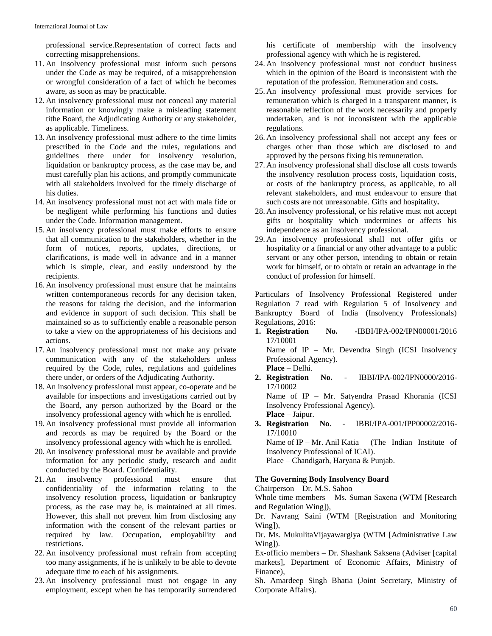professional service.Representation of correct facts and correcting misapprehensions.

- 11. An insolvency professional must inform such persons under the Code as may be required, of a misapprehension or wrongful consideration of a fact of which he becomes aware, as soon as may be practicable.
- 12. An insolvency professional must not conceal any material information or knowingly make a misleading statement tithe Board, the Adjudicating Authority or any stakeholder, as applicable. Timeliness.
- 13. An insolvency professional must adhere to the time limits prescribed in the Code and the rules, regulations and guidelines there under for insolvency resolution, liquidation or bankruptcy process, as the case may be, and must carefully plan his actions, and promptly communicate with all stakeholders involved for the timely discharge of his duties.
- 14. An insolvency professional must not act with mala fide or be negligent while performing his functions and duties under the Code. Information management.
- 15. An insolvency professional must make efforts to ensure that all communication to the stakeholders, whether in the form of notices, reports, updates, directions, or clarifications, is made well in advance and in a manner which is simple, clear, and easily understood by the recipients.
- 16. An insolvency professional must ensure that he maintains written contemporaneous records for any decision taken, the reasons for taking the decision, and the information and evidence in support of such decision. This shall be maintained so as to sufficiently enable a reasonable person to take a view on the appropriateness of his decisions and actions.
- 17. An insolvency professional must not make any private communication with any of the stakeholders unless required by the Code, rules, regulations and guidelines there under, or orders of the Adjudicating Authority.
- 18. An insolvency professional must appear, co-operate and be available for inspections and investigations carried out by the Board, any person authorized by the Board or the insolvency professional agency with which he is enrolled.
- 19. An insolvency professional must provide all information and records as may be required by the Board or the insolvency professional agency with which he is enrolled.
- 20. An insolvency professional must be available and provide information for any periodic study, research and audit conducted by the Board. Confidentiality.
- 21. An insolvency professional must ensure that confidentiality of the information relating to the insolvency resolution process, liquidation or bankruptcy process, as the case may be, is maintained at all times. However, this shall not prevent him from disclosing any information with the consent of the relevant parties or required by law. Occupation, employability and restrictions.
- 22. An insolvency professional must refrain from accepting too many assignments, if he is unlikely to be able to devote adequate time to each of his assignments.
- 23. An insolvency professional must not engage in any employment, except when he has temporarily surrendered

his certificate of membership with the insolvency professional agency with which he is registered.

- 24. An insolvency professional must not conduct business which in the opinion of the Board is inconsistent with the reputation of the profession. Remuneration and costs**.**
- 25. An insolvency professional must provide services for remuneration which is charged in a transparent manner, is reasonable reflection of the work necessarily and properly undertaken, and is not inconsistent with the applicable regulations.
- 26. An insolvency professional shall not accept any fees or charges other than those which are disclosed to and approved by the persons fixing his remuneration.
- 27. An insolvency professional shall disclose all costs towards the insolvency resolution process costs, liquidation costs, or costs of the bankruptcy process, as applicable, to all relevant stakeholders, and must endeavour to ensure that such costs are not unreasonable. Gifts and hospitality**.**
- 28. An insolvency professional, or his relative must not accept gifts or hospitality which undermines or affects his independence as an insolvency professional.
- 29. An insolvency professional shall not offer gifts or hospitality or a financial or any other advantage to a public servant or any other person, intending to obtain or retain work for himself, or to obtain or retain an advantage in the conduct of profession for himself.

Particulars of Insolvency Professional Registered under Regulation 7 read with Regulation 5 of Insolvency and Bankruptcy Board of India (Insolvency Professionals) Regulations, 2016:

**1. Registration No. -**IBBI/IPA-002/IPN00001/2016 17/10001 Name of IP – Mr. Devendra Singh (ICSI Insolvency Professional Agency).

**Place** – Delhi.

**2. Registration No.** - IBBI/IPA-002/IPN0000/2016- 17/10002

Name of IP – Mr. Satyendra Prasad Khorania (ICSI Insolvency Professional Agency). **Place** – Jaipur.

**3. Registration No**. - IBBI/IPA-001/IPP00002/2016- 17/10010

Name of IP – Mr. Anil Katia (The Indian Institute of Insolvency Professional of ICAI).

Place – Chandigarh, Haryana & Punjab.

## **The Governing Body Insolvency Board**

Chairperson – Dr. M.S. Sahoo

Whole time members – Ms. Suman Saxena (WTM [Research and Regulation Wing]),

Dr. Navrang Saini (WTM [Registration and Monitoring Wing]),

Dr. Ms. MukulitaVijayawargiya (WTM [Administrative Law Wing]).

Ex-officio members – Dr. Shashank Saksena (Adviser [capital markets], Department of Economic Affairs, Ministry of Finance),

Sh. Amardeep Singh Bhatia (Joint Secretary, Ministry of Corporate Affairs).